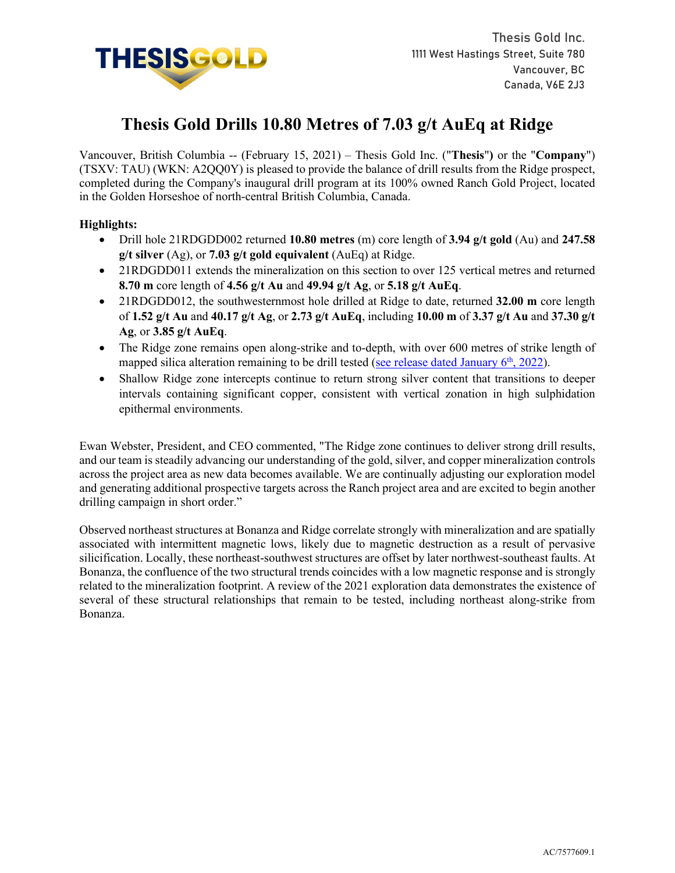

# **Thesis Gold Drills 10.80 Metres of 7.03 g/t AuEq at Ridge**

Vancouver, British Columbia -- (February 15, 2021) – Thesis Gold Inc. ("**Thesis**"**)** or the "**Company**") (TSXV: TAU) (WKN: A2QQ0Y) is pleased to provide the balance of drill results from the Ridge prospect, completed during the Company's inaugural drill program at its 100% owned Ranch Gold Project, located in the Golden Horseshoe of north-central British Columbia, Canada.

## **Highlights:**

- Drill hole 21RDGDD002 returned **10.80 metres** (m) core length of **3.94 g/t gold** (Au) and **247.58 g/t silver** (Ag), or **7.03 g/t gold equivalent** (AuEq) at Ridge.
- 21RDGDD011 extends the mineralization on this section to over 125 vertical metres and returned **8.70 m** core length of **4.56 g/t Au** and **49.94 g/t Ag**, or **5.18 g/t AuEq**.
- 21RDGDD012, the southwesternmost hole drilled at Ridge to date, returned **32.00 m** core length of **1.52 g/t Au** and **40.17 g/t Ag**, or **2.73 g/t AuEq**, including **10.00 m** of **3.37 g/t Au** and **37.30 g/t Ag**, or **3.85 g/t AuEq**.
- The Ridge zone remains open along-strike and to-depth, with over 600 metres of strike length of mapped silica alteration remaining to be drill tested (see release dated January  $6<sup>th</sup>$ , 2022).
- Shallow Ridge zone intercepts continue to return strong silver content that transitions to deeper intervals containing significant copper, consistent with vertical zonation in high sulphidation epithermal environments.

Ewan Webster, President, and CEO commented, "The Ridge zone continues to deliver strong drill results, and our team is steadily advancing our understanding of the gold, silver, and copper mineralization controls across the project area as new data becomes available. We are continually adjusting our exploration model and generating additional prospective targets across the Ranch project area and are excited to begin another drilling campaign in short order."

Observed northeast structures at Bonanza and Ridge correlate strongly with mineralization and are spatially associated with intermittent magnetic lows, likely due to magnetic destruction as a result of pervasive silicification. Locally, these northeast-southwest structures are offset by later northwest-southeast faults. At Bonanza, the confluence of the two structural trends coincides with a low magnetic response and is strongly related to the mineralization footprint. A review of the 2021 exploration data demonstrates the existence of several of these structural relationships that remain to be tested, including northeast along-strike from Bonanza.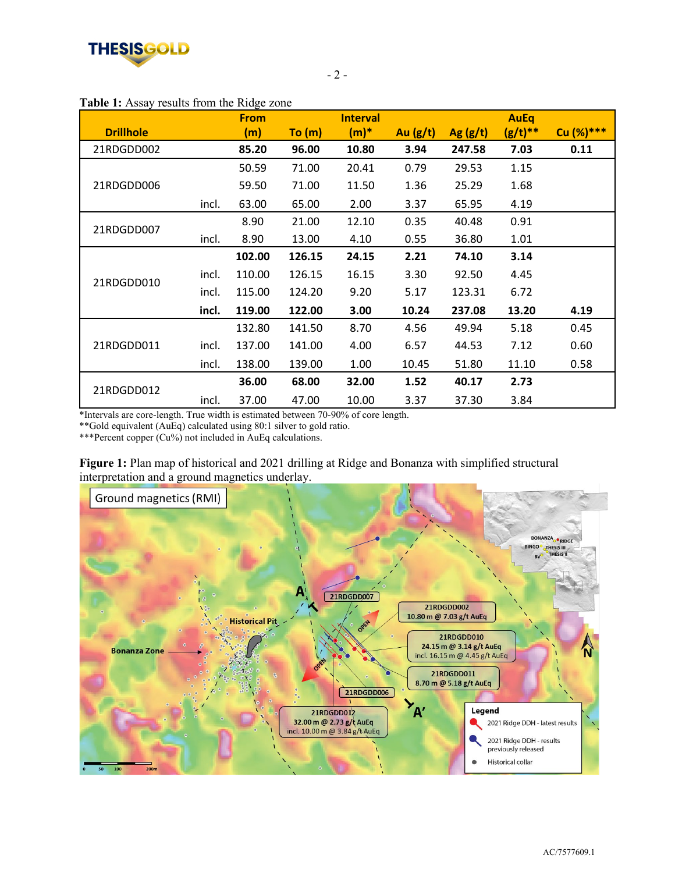

## **Table 1:** Assay results from the Ridge zone

|                  |       | <b>From</b> |        | <b>Interval</b> |            |            | <b>AuEq</b> |            |
|------------------|-------|-------------|--------|-----------------|------------|------------|-------------|------------|
| <b>Drillhole</b> |       | (m)         | To (m) | $(m)^*$         | Au $(g/t)$ | Ag $(g/t)$ | $(g/t)**$   | Cu (%) *** |
| 21RDGDD002       |       | 85.20       | 96.00  | 10.80           | 3.94       | 247.58     | 7.03        | 0.11       |
| 21RDGDD006       |       | 50.59       | 71.00  | 20.41           | 0.79       | 29.53      | 1.15        |            |
|                  |       | 59.50       | 71.00  | 11.50           | 1.36       | 25.29      | 1.68        |            |
|                  | incl. | 63.00       | 65.00  | 2.00            | 3.37       | 65.95      | 4.19        |            |
| 21RDGDD007       |       | 8.90        | 21.00  | 12.10           | 0.35       | 40.48      | 0.91        |            |
|                  | incl. | 8.90        | 13.00  | 4.10            | 0.55       | 36.80      | 1.01        |            |
| 21RDGDD010       |       | 102.00      | 126.15 | 24.15           | 2.21       | 74.10      | 3.14        |            |
|                  | incl. | 110.00      | 126.15 | 16.15           | 3.30       | 92.50      | 4.45        |            |
|                  | incl. | 115.00      | 124.20 | 9.20            | 5.17       | 123.31     | 6.72        |            |
|                  | incl. | 119.00      | 122.00 | 3.00            | 10.24      | 237.08     | 13.20       | 4.19       |
| 21RDGDD011       |       | 132.80      | 141.50 | 8.70            | 4.56       | 49.94      | 5.18        | 0.45       |
|                  | incl. | 137.00      | 141.00 | 4.00            | 6.57       | 44.53      | 7.12        | 0.60       |
|                  | incl. | 138.00      | 139.00 | 1.00            | 10.45      | 51.80      | 11.10       | 0.58       |
| 21RDGDD012       |       | 36.00       | 68.00  | 32.00           | 1.52       | 40.17      | 2.73        |            |
|                  | incl. | 37.00       | 47.00  | 10.00           | 3.37       | 37.30      | 3.84        |            |

\*Intervals are core-length. True width is estimated between 70-90% of core length.

\*\*Gold equivalent (AuEq) calculated using 80:1 silver to gold ratio.

\*\*\*Percent copper (Cu%) not included in AuEq calculations.



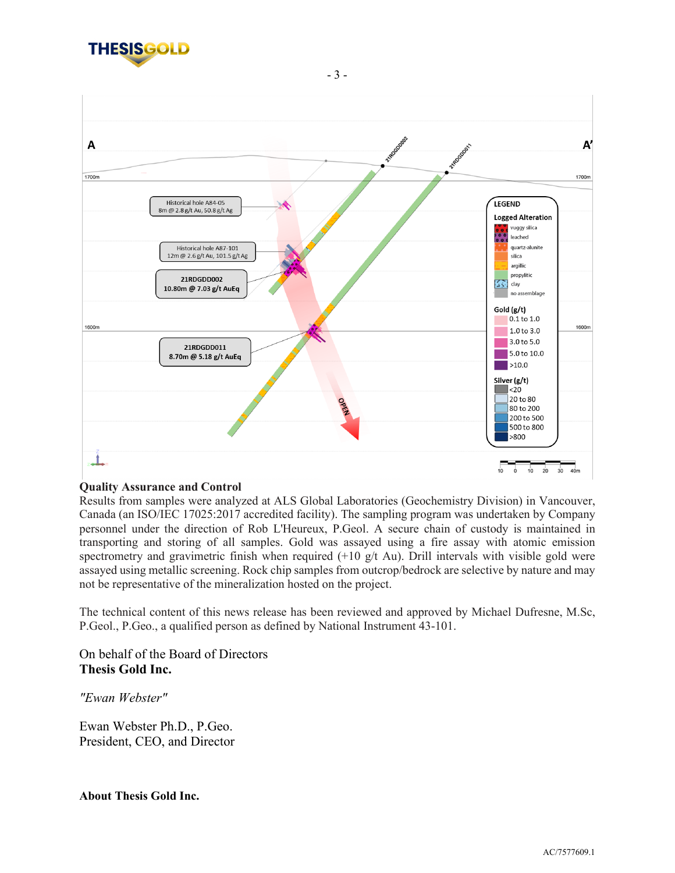



## **Quality Assurance and Control**

Results from samples were analyzed at ALS Global Laboratories (Geochemistry Division) in Vancouver, Canada (an ISO/IEC 17025:2017 accredited facility). The sampling program was undertaken by Company personnel under the direction of Rob L'Heureux, P.Geol. A secure chain of custody is maintained in transporting and storing of all samples. Gold was assayed using a fire assay with atomic emission spectrometry and gravimetric finish when required  $(+10 \text{ g/t}$  Au). Drill intervals with visible gold were assayed using metallic screening. Rock chip samples from outcrop/bedrock are selective by nature and may not be representative of the mineralization hosted on the project.

The technical content of this news release has been reviewed and approved by Michael Dufresne, M.Sc, P.Geol., P.Geo., a qualified person as defined by National Instrument 43-101.

# On behalf of the Board of Directors **Thesis Gold Inc.**

*"Ewan Webster"* 

Ewan Webster Ph.D., P.Geo. President, CEO, and Director

**About Thesis Gold Inc.**